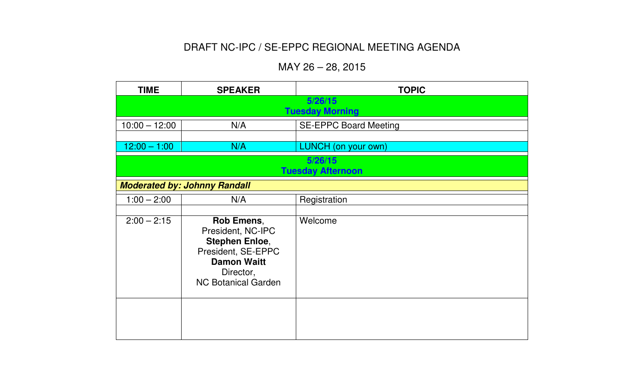## DRAFT NC-IPC / SE-EPPC REGIONAL MEETING AGENDA

## MAY 26 – 28, 2015

| <b>TIME</b>                         | <b>SPEAKER</b>                                                                                                                                  | <b>TOPIC</b>                        |  |
|-------------------------------------|-------------------------------------------------------------------------------------------------------------------------------------------------|-------------------------------------|--|
|                                     | 5/26/15<br><b>Tuesday Morning</b>                                                                                                               |                                     |  |
| $10:00 - 12:00$                     | N/A                                                                                                                                             | <b>SE-EPPC Board Meeting</b>        |  |
| $12:00 - 1:00$                      | N/A                                                                                                                                             | <b>LUNCH</b> (on your own)          |  |
|                                     |                                                                                                                                                 | 5/26/15<br><b>Tuesday Afternoon</b> |  |
| <b>Moderated by: Johnny Randall</b> |                                                                                                                                                 |                                     |  |
| $1:00 - 2:00$                       | N/A                                                                                                                                             | Registration                        |  |
| $2:00 - 2:15$                       | Rob Emens,<br>President, NC-IPC<br><b>Stephen Enloe,</b><br>President, SE-EPPC<br><b>Damon Waitt</b><br>Director,<br><b>NC Botanical Garden</b> | Welcome                             |  |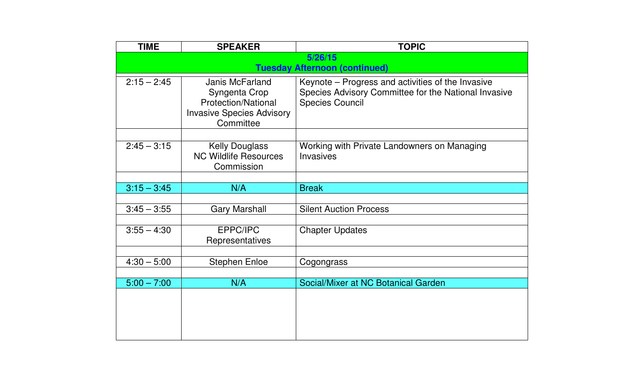| <b>TIME</b>   | <b>SPEAKER</b>                                                                                                  | <b>TOPIC</b>                                                                                                                        |
|---------------|-----------------------------------------------------------------------------------------------------------------|-------------------------------------------------------------------------------------------------------------------------------------|
|               |                                                                                                                 | 5/26/15                                                                                                                             |
|               |                                                                                                                 | <b>Tuesday Afternoon (continued)</b>                                                                                                |
| $2:15 - 2:45$ | Janis McFarland<br>Syngenta Crop<br><b>Protection/National</b><br><b>Invasive Species Advisory</b><br>Committee | Keynote – Progress and activities of the Invasive<br>Species Advisory Committee for the National Invasive<br><b>Species Council</b> |
|               |                                                                                                                 |                                                                                                                                     |
| $2:45 - 3:15$ | <b>Kelly Douglass</b><br><b>NC Wildlife Resources</b><br>Commission                                             | Working with Private Landowners on Managing<br><b>Invasives</b>                                                                     |
|               |                                                                                                                 |                                                                                                                                     |
| $3:15 - 3:45$ | N/A                                                                                                             | <b>Break</b>                                                                                                                        |
|               |                                                                                                                 |                                                                                                                                     |
| $3:45 - 3:55$ | <b>Gary Marshall</b>                                                                                            | <b>Silent Auction Process</b>                                                                                                       |
|               |                                                                                                                 |                                                                                                                                     |
| $3:55 - 4:30$ | EPPC/IPC<br>Representatives                                                                                     | <b>Chapter Updates</b>                                                                                                              |
|               |                                                                                                                 |                                                                                                                                     |
| $4:30 - 5:00$ | <b>Stephen Enloe</b>                                                                                            | Cogongrass                                                                                                                          |
|               |                                                                                                                 |                                                                                                                                     |
| $5:00 - 7:00$ | N/A                                                                                                             | Social/Mixer at NC Botanical Garden                                                                                                 |
|               |                                                                                                                 |                                                                                                                                     |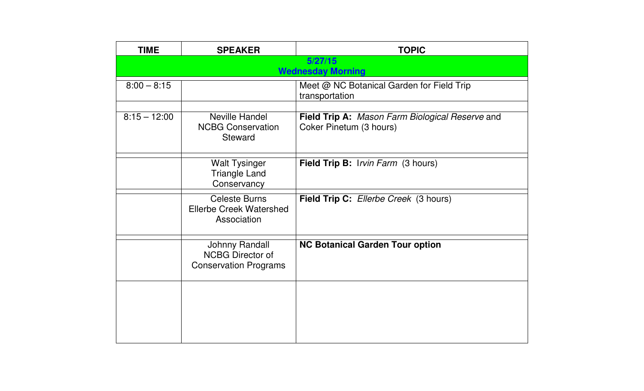| <b>TIME</b>    | <b>SPEAKER</b>                                                                   | <b>TOPIC</b>                                                                      |
|----------------|----------------------------------------------------------------------------------|-----------------------------------------------------------------------------------|
|                |                                                                                  | 5/27/15<br><b>Wednesday Morning</b>                                               |
| $8:00 - 8:15$  |                                                                                  | Meet @ NC Botanical Garden for Field Trip<br>transportation                       |
| $8:15 - 12:00$ | Neville Handel<br><b>NCBG Conservation</b><br><b>Steward</b>                     | <b>Field Trip A:</b> Mason Farm Biological Reserve and<br>Coker Pinetum (3 hours) |
|                | <b>Walt Tysinger</b><br><b>Triangle Land</b><br>Conservancy                      | Field Trip B: Irvin Farm (3 hours)                                                |
|                | <b>Celeste Burns</b><br><b>Ellerbe Creek Watershed</b><br>Association            | Field Trip C: Ellerbe Creek (3 hours)                                             |
|                | <b>Johnny Randall</b><br><b>NCBG Director of</b><br><b>Conservation Programs</b> | <b>NC Botanical Garden Tour option</b>                                            |
|                |                                                                                  |                                                                                   |
|                |                                                                                  |                                                                                   |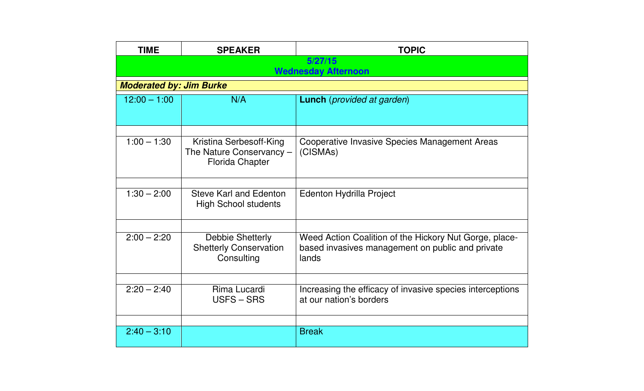| <b>TIME</b>                    | <b>SPEAKER</b>                                                                | <b>TOPIC</b>                                                                                                        |  |
|--------------------------------|-------------------------------------------------------------------------------|---------------------------------------------------------------------------------------------------------------------|--|
|                                | 5/27/15<br><b>Wednesday Afternoon</b>                                         |                                                                                                                     |  |
| <b>Moderated by: Jim Burke</b> |                                                                               |                                                                                                                     |  |
| $12:00 - 1:00$                 | N/A                                                                           | <b>Lunch</b> ( <i>provided at garden</i> )                                                                          |  |
| $1:00 - 1:30$                  |                                                                               |                                                                                                                     |  |
|                                | Kristina Serbesoff-King<br>The Nature Conservancy -<br><b>Florida Chapter</b> | Cooperative Invasive Species Management Areas<br>(CISMAs)                                                           |  |
|                                |                                                                               |                                                                                                                     |  |
| $1:30 - 2:00$                  | <b>Steve Karl and Edenton</b><br><b>High School students</b>                  | <b>Edenton Hydrilla Project</b>                                                                                     |  |
|                                |                                                                               |                                                                                                                     |  |
| $2:00 - 2:20$                  | <b>Debbie Shetterly</b><br><b>Shetterly Conservation</b><br>Consulting        | Weed Action Coalition of the Hickory Nut Gorge, place-<br>based invasives management on public and private<br>lands |  |
|                                |                                                                               |                                                                                                                     |  |
| $2:20 - 2:40$                  | Rima Lucardi<br>USFS – SRS                                                    | Increasing the efficacy of invasive species interceptions<br>at our nation's borders                                |  |
|                                |                                                                               |                                                                                                                     |  |
| $2:40 - 3:10$                  |                                                                               | <b>Break</b>                                                                                                        |  |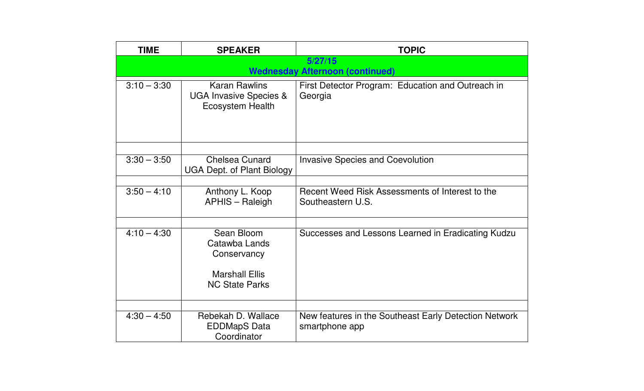| <b>TIME</b>   | <b>SPEAKER</b>                                                                               | <b>TOPIC</b>                                                            |
|---------------|----------------------------------------------------------------------------------------------|-------------------------------------------------------------------------|
|               |                                                                                              | 5/27/15<br><b>Wednesday Afternoon (continued)</b>                       |
| $3:10 - 3:30$ | <b>Karan Rawlins</b><br><b>UGA Invasive Species &amp;</b><br><b>Ecosystem Health</b>         | First Detector Program: Education and Outreach in<br>Georgia            |
|               |                                                                                              |                                                                         |
| $3:30 - 3:50$ | <b>Chelsea Cunard</b><br><b>UGA Dept. of Plant Biology</b>                                   | <b>Invasive Species and Coevolution</b>                                 |
|               |                                                                                              |                                                                         |
| $3:50 - 4:10$ | Anthony L. Koop<br>APHIS - Raleigh                                                           | Recent Weed Risk Assessments of Interest to the<br>Southeastern U.S.    |
|               |                                                                                              |                                                                         |
| $4:10 - 4:30$ | Sean Bloom<br>Catawba Lands<br>Conservancy<br><b>Marshall Ellis</b><br><b>NC State Parks</b> | Successes and Lessons Learned in Eradicating Kudzu                      |
|               |                                                                                              |                                                                         |
| $4:30 - 4:50$ | Rebekah D. Wallace<br><b>EDDMapS Data</b><br>Coordinator                                     | New features in the Southeast Early Detection Network<br>smartphone app |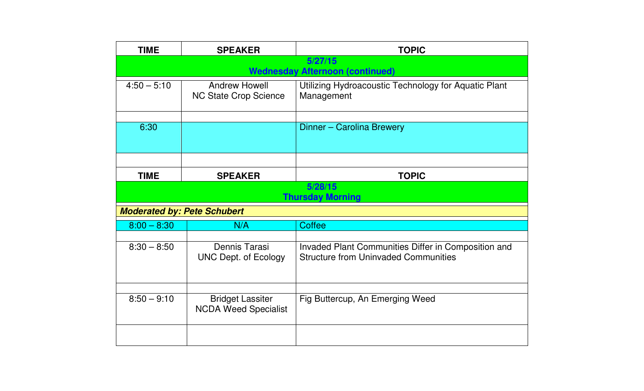| <b>TIME</b>                        | <b>SPEAKER</b>                                         | <b>TOPIC</b>                                                                                       |  |
|------------------------------------|--------------------------------------------------------|----------------------------------------------------------------------------------------------------|--|
|                                    |                                                        | 5/27/15<br><b>Wednesday Afternoon (continued)</b>                                                  |  |
| $4:50 - 5:10$                      | <b>Andrew Howell</b><br><b>NC State Crop Science</b>   | Utilizing Hydroacoustic Technology for Aquatic Plant<br>Management                                 |  |
| 6:30                               |                                                        | Dinner - Carolina Brewery                                                                          |  |
|                                    |                                                        |                                                                                                    |  |
| <b>TIME</b>                        | <b>SPEAKER</b>                                         | <b>TOPIC</b>                                                                                       |  |
|                                    | 5/28/15<br><b>Thursday Morning</b>                     |                                                                                                    |  |
| <b>Moderated by: Pete Schubert</b> |                                                        |                                                                                                    |  |
| $8:00 - 8:30$                      | N/A                                                    | <b>Coffee</b>                                                                                      |  |
| $8:30 - 8:50$                      | Dennis Tarasi<br><b>UNC Dept. of Ecology</b>           | Invaded Plant Communities Differ in Composition and<br><b>Structure from Uninvaded Communities</b> |  |
| $8:50 - 9:10$                      | <b>Bridget Lassiter</b><br><b>NCDA Weed Specialist</b> | Fig Buttercup, An Emerging Weed                                                                    |  |
|                                    |                                                        |                                                                                                    |  |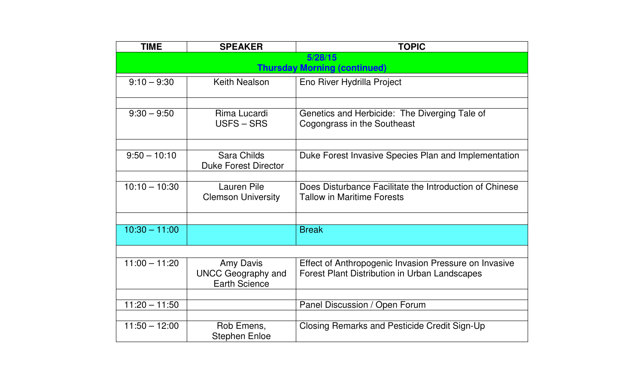| <b>TIME</b>     | <b>SPEAKER</b>                                                 | <b>TOPIC</b>                                                                                                  |
|-----------------|----------------------------------------------------------------|---------------------------------------------------------------------------------------------------------------|
|                 |                                                                | 5/28/15                                                                                                       |
|                 |                                                                | <b>Thursday Morning (continued)</b>                                                                           |
| $9:10 - 9:30$   | <b>Keith Nealson</b>                                           | Eno River Hydrilla Project                                                                                    |
|                 |                                                                |                                                                                                               |
| $9:30 - 9:50$   | Rima Lucardi<br><b>USFS-SRS</b>                                | Genetics and Herbicide: The Diverging Tale of<br>Cogongrass in the Southeast                                  |
|                 |                                                                |                                                                                                               |
| $9:50 - 10:10$  | Sara Childs<br><b>Duke Forest Director</b>                     | Duke Forest Invasive Species Plan and Implementation                                                          |
|                 |                                                                |                                                                                                               |
| $10:10 - 10:30$ | Lauren Pile<br><b>Clemson University</b>                       | Does Disturbance Facilitate the Introduction of Chinese<br><b>Tallow in Maritime Forests</b>                  |
|                 |                                                                |                                                                                                               |
| $10:30 - 11:00$ |                                                                | <b>Break</b>                                                                                                  |
|                 |                                                                |                                                                                                               |
| $11:00 - 11:20$ | Amy Davis<br><b>UNCC Geography and</b><br><b>Earth Science</b> | Effect of Anthropogenic Invasion Pressure on Invasive<br><b>Forest Plant Distribution in Urban Landscapes</b> |
|                 |                                                                |                                                                                                               |
| $11:20 - 11:50$ |                                                                | Panel Discussion / Open Forum                                                                                 |
|                 |                                                                |                                                                                                               |
| $11:50 - 12:00$ | Rob Emens,<br><b>Stephen Enloe</b>                             | Closing Remarks and Pesticide Credit Sign-Up                                                                  |